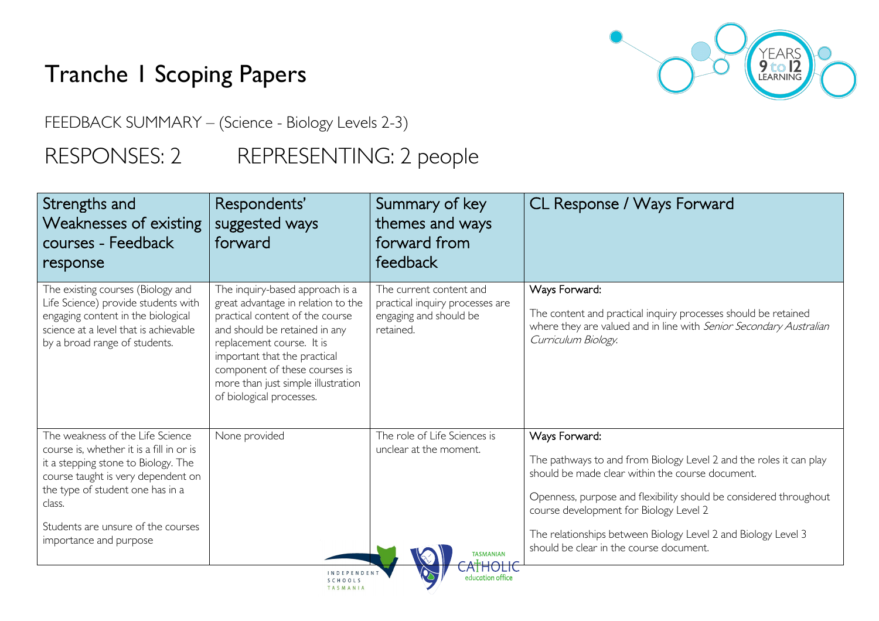# Tranche 1 Scoping Papers



FEEDBACK SUMMARY – (Science - Biology Levels 2-3)

## RESPONSES: 2 REPRESENTING: 2 people

| courses - Feedback<br>response                                                                                                                                                                                                                                          | suggested ways<br>forward                                                                                                                                                                                                                                                                                 | themes and ways<br>forward from<br>feedback                                                       |                                                                                                                                                                                                                                                                                                                                                                    |
|-------------------------------------------------------------------------------------------------------------------------------------------------------------------------------------------------------------------------------------------------------------------------|-----------------------------------------------------------------------------------------------------------------------------------------------------------------------------------------------------------------------------------------------------------------------------------------------------------|---------------------------------------------------------------------------------------------------|--------------------------------------------------------------------------------------------------------------------------------------------------------------------------------------------------------------------------------------------------------------------------------------------------------------------------------------------------------------------|
| The existing courses (Biology and<br>Life Science) provide students with<br>engaging content in the biological<br>science at a level that is achievable<br>by a broad range of students.                                                                                | The inquiry-based approach is a<br>great advantage in relation to the<br>practical content of the course<br>and should be retained in any<br>replacement course. It is<br>important that the practical<br>component of these courses is<br>more than just simple illustration<br>of biological processes. | The current content and<br>practical inquiry processes are<br>engaging and should be<br>retained. | Ways Forward:<br>The content and practical inquiry processes should be retained<br>where they are valued and in line with Senior Secondary Australian<br>Curriculum Biology.                                                                                                                                                                                       |
| The weakness of the Life Science<br>course is, whether it is a fill in or is<br>it a stepping stone to Biology. The<br>course taught is very dependent on<br>the type of student one has in a<br>class.<br>Students are unsure of the courses<br>importance and purpose | None provided                                                                                                                                                                                                                                                                                             | The role of Life Sciences is<br>unclear at the moment.<br><b>TASMANIAN</b>                        | Ways Forward:<br>The pathways to and from Biology Level 2 and the roles it can play<br>should be made clear within the course document.<br>Openness, purpose and flexibility should be considered throughout<br>course development for Biology Level 2<br>The relationships between Biology Level 2 and Biology Level 3<br>should be clear in the course document. |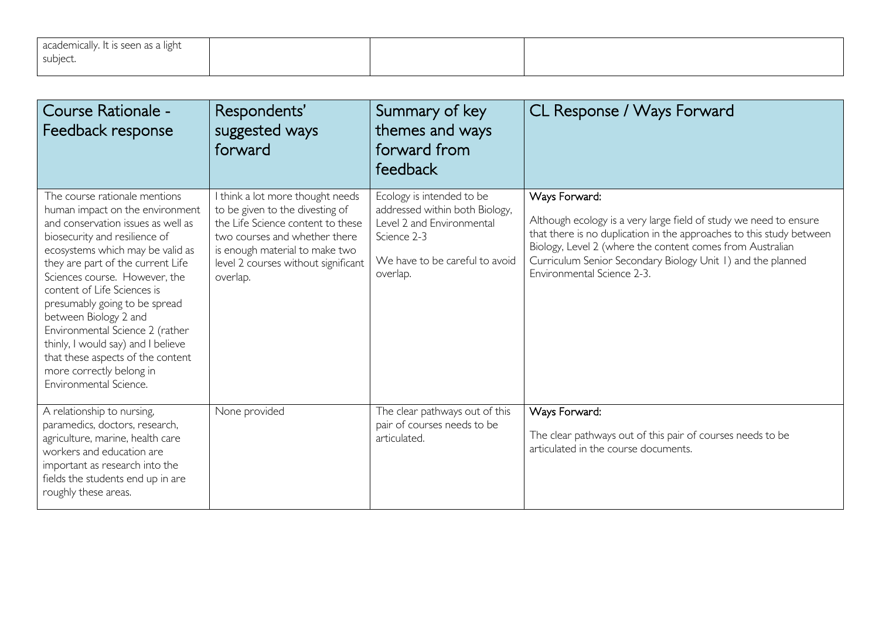| academically. It is seen as a light |  |  |
|-------------------------------------|--|--|
| subject.                            |  |  |
|                                     |  |  |

| Course Rationale -<br>Feedback response                                                                                                                                                                                                                                                                                                                                                                                                                                                                        | Respondents'<br>suggested ways<br>forward                                                                                                                                                                                      | Summary of key<br>themes and ways<br>forward from<br>feedback                                                                                         | CL Response / Ways Forward                                                                                                                                                                                                                                                                                           |
|----------------------------------------------------------------------------------------------------------------------------------------------------------------------------------------------------------------------------------------------------------------------------------------------------------------------------------------------------------------------------------------------------------------------------------------------------------------------------------------------------------------|--------------------------------------------------------------------------------------------------------------------------------------------------------------------------------------------------------------------------------|-------------------------------------------------------------------------------------------------------------------------------------------------------|----------------------------------------------------------------------------------------------------------------------------------------------------------------------------------------------------------------------------------------------------------------------------------------------------------------------|
| The course rationale mentions<br>human impact on the environment<br>and conservation issues as well as<br>biosecurity and resilience of<br>ecosystems which may be valid as<br>they are part of the current Life<br>Sciences course. However, the<br>content of Life Sciences is<br>presumably going to be spread<br>between Biology 2 and<br>Environmental Science 2 (rather<br>thinly, I would say) and I believe<br>that these aspects of the content<br>more correctly belong in<br>Environmental Science. | I think a lot more thought needs<br>to be given to the divesting of<br>the Life Science content to these<br>two courses and whether there<br>is enough material to make two<br>level 2 courses without significant<br>overlap. | Ecology is intended to be<br>addressed within both Biology,<br>Level 2 and Environmental<br>Science 2-3<br>We have to be careful to avoid<br>overlap. | Ways Forward:<br>Although ecology is a very large field of study we need to ensure<br>that there is no duplication in the approaches to this study between<br>Biology, Level 2 (where the content comes from Australian<br>Curriculum Senior Secondary Biology Unit 1) and the planned<br>Environmental Science 2-3. |
| A relationship to nursing,<br>paramedics, doctors, research,<br>agriculture, marine, health care<br>workers and education are<br>important as research into the<br>fields the students end up in are<br>roughly these areas.                                                                                                                                                                                                                                                                                   | None provided                                                                                                                                                                                                                  | The clear pathways out of this<br>pair of courses needs to be<br>articulated.                                                                         | Ways Forward:<br>The clear pathways out of this pair of courses needs to be<br>articulated in the course documents.                                                                                                                                                                                                  |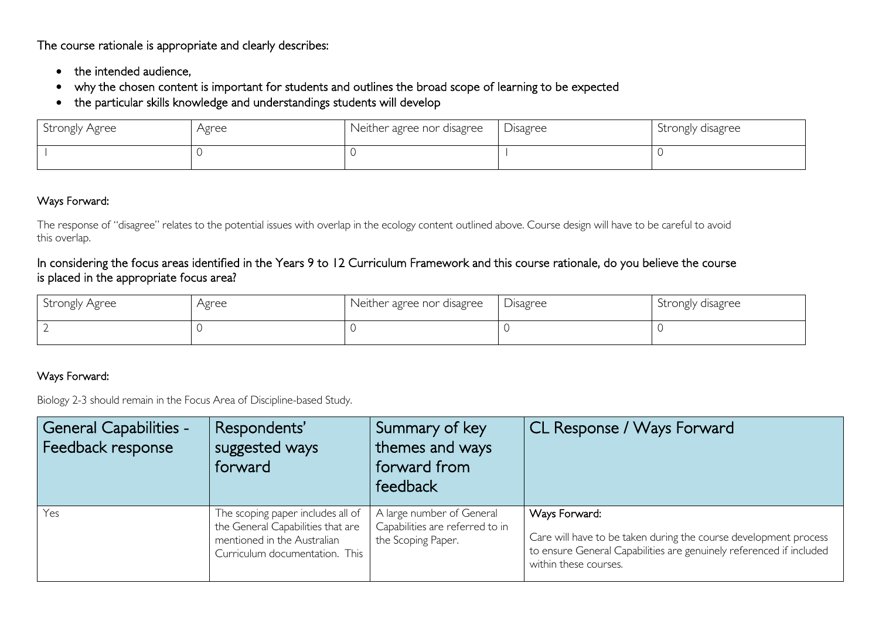The course rationale is appropriate and clearly describes:

- the intended audience,
- why the chosen content is important for students and outlines the broad scope of learning to be expected
- the particular skills knowledge and understandings students will develop

| Strongly Agree | Agree | Neither agree nor disagree | Disagree | Strongly disagree |
|----------------|-------|----------------------------|----------|-------------------|
|                |       |                            |          |                   |

### Ways Forward:

The response of "disagree" relates to the potential issues with overlap in the ecology content outlined above. Course design will have to be careful to avoid this overlap.

### In considering the focus areas identified in the Years 9 to 12 Curriculum Framework and this course rationale, do you believe the course is placed in the appropriate focus area?

| Strongly Agree | Agree | Neither agree nor disagree | Disagree | Strongly disagree |
|----------------|-------|----------------------------|----------|-------------------|
|                |       |                            |          |                   |

### Ways Forward:

Biology 2-3 should remain in the Focus Area of Discipline-based Study.

| General Capabilities -<br>Feedback response | Respondents'<br>suggested ways<br>forward                                                                                               | Summary of key<br>themes and ways<br>forward from<br>feedback                      | CL Response / Ways Forward                                                                                                                                                        |
|---------------------------------------------|-----------------------------------------------------------------------------------------------------------------------------------------|------------------------------------------------------------------------------------|-----------------------------------------------------------------------------------------------------------------------------------------------------------------------------------|
| Yes                                         | The scoping paper includes all of<br>the General Capabilities that are<br>mentioned in the Australian<br>Curriculum documentation. This | A large number of General<br>Capabilities are referred to in<br>the Scoping Paper. | Ways Forward:<br>Care will have to be taken during the course development process<br>to ensure General Capabilities are genuinely referenced if included<br>within these courses. |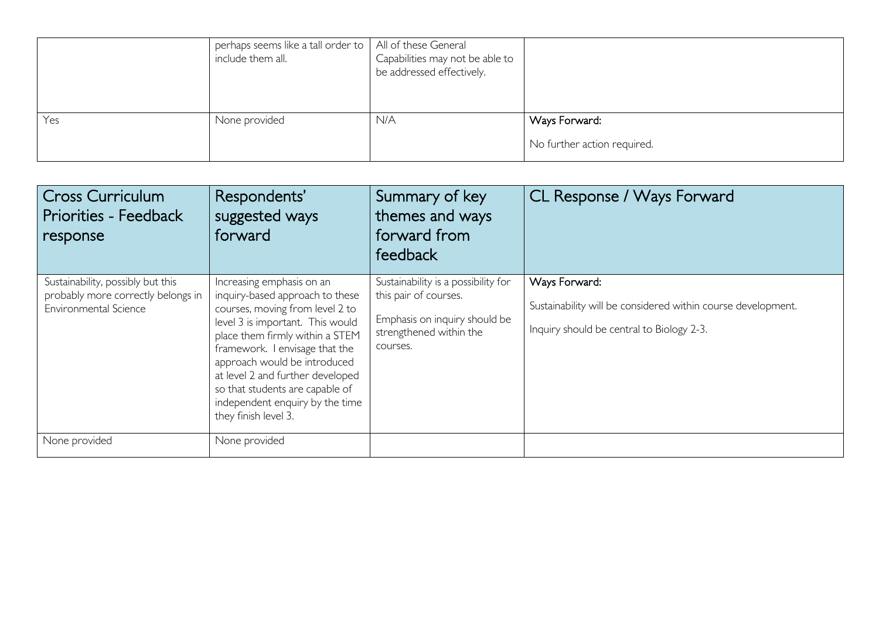|     | perhaps seems like a tall order to   All of these General<br>include them all. | Capabilities may not be able to<br>be addressed effectively. |                                              |
|-----|--------------------------------------------------------------------------------|--------------------------------------------------------------|----------------------------------------------|
| Yes | None provided                                                                  | N/A                                                          | Ways Forward:<br>No further action required. |

| <b>Cross Curriculum</b><br><b>Priorities - Feedback</b><br>response                              | Respondents'<br>suggested ways<br>forward                                                                                                                                                                                                                                                                                                                                  | Summary of key<br>themes and ways<br>forward from<br>feedback                                                                        | CL Response / Ways Forward                                                                                                 |
|--------------------------------------------------------------------------------------------------|----------------------------------------------------------------------------------------------------------------------------------------------------------------------------------------------------------------------------------------------------------------------------------------------------------------------------------------------------------------------------|--------------------------------------------------------------------------------------------------------------------------------------|----------------------------------------------------------------------------------------------------------------------------|
| Sustainability, possibly but this<br>probably more correctly belongs in<br>Environmental Science | Increasing emphasis on an<br>inquiry-based approach to these<br>courses, moving from level 2 to<br>level 3 is important. This would<br>place them firmly within a STEM<br>framework. I envisage that the<br>approach would be introduced<br>at level 2 and further developed<br>so that students are capable of<br>independent enquiry by the time<br>they finish level 3. | Sustainability is a possibility for<br>this pair of courses.<br>Emphasis on inquiry should be<br>strengthened within the<br>courses. | Ways Forward:<br>Sustainability will be considered within course development.<br>Inquiry should be central to Biology 2-3. |
| None provided                                                                                    | None provided                                                                                                                                                                                                                                                                                                                                                              |                                                                                                                                      |                                                                                                                            |